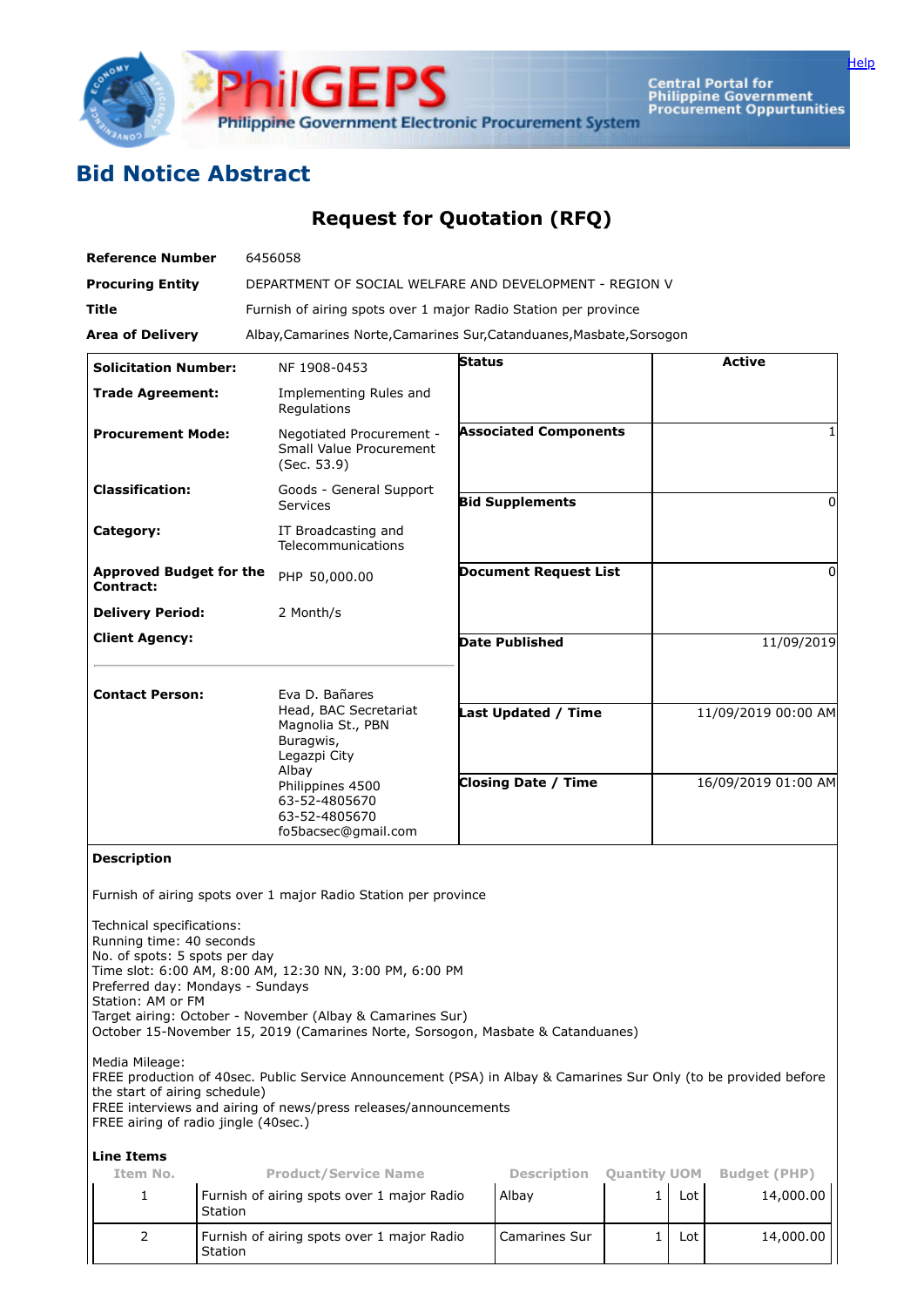

Central Portal for<br>Philippine Government<br>Procurement Oppurtunities

[Help](javascript:void(window.open()

## **Bid Notice Abstract**

## **Request for Quotation (RFQ)**

| <b>Reference Number</b>                                                                                                                                                                                                                                                                                                                                                                                                       | 6456058                                                                                   |                            |                              |                     |                     |                     |  |  |  |  |
|-------------------------------------------------------------------------------------------------------------------------------------------------------------------------------------------------------------------------------------------------------------------------------------------------------------------------------------------------------------------------------------------------------------------------------|-------------------------------------------------------------------------------------------|----------------------------|------------------------------|---------------------|---------------------|---------------------|--|--|--|--|
| <b>Procuring Entity</b>                                                                                                                                                                                                                                                                                                                                                                                                       | DEPARTMENT OF SOCIAL WELFARE AND DEVELOPMENT - REGION V                                   |                            |                              |                     |                     |                     |  |  |  |  |
| Title                                                                                                                                                                                                                                                                                                                                                                                                                         | Furnish of airing spots over 1 major Radio Station per province                           |                            |                              |                     |                     |                     |  |  |  |  |
| <b>Area of Delivery</b>                                                                                                                                                                                                                                                                                                                                                                                                       | Albay, Camarines Norte, Camarines Sur, Catanduanes, Masbate, Sorsogon                     |                            |                              |                     |                     |                     |  |  |  |  |
| <b>Solicitation Number:</b>                                                                                                                                                                                                                                                                                                                                                                                                   | NF 1908-0453                                                                              | <b>Status</b>              |                              |                     |                     | <b>Active</b>       |  |  |  |  |
| <b>Trade Agreement:</b>                                                                                                                                                                                                                                                                                                                                                                                                       | Implementing Rules and<br>Regulations                                                     |                            |                              |                     |                     |                     |  |  |  |  |
| <b>Procurement Mode:</b>                                                                                                                                                                                                                                                                                                                                                                                                      | Negotiated Procurement -<br>Small Value Procurement<br>(Sec. 53.9)                        |                            | <b>Associated Components</b> |                     |                     |                     |  |  |  |  |
| <b>Classification:</b>                                                                                                                                                                                                                                                                                                                                                                                                        | Goods - General Support<br>Services                                                       |                            | <b>Bid Supplements</b>       |                     |                     | 0                   |  |  |  |  |
| Category:                                                                                                                                                                                                                                                                                                                                                                                                                     | IT Broadcasting and<br>Telecommunications                                                 |                            |                              |                     |                     |                     |  |  |  |  |
| <b>Approved Budget for the</b><br>Contract:                                                                                                                                                                                                                                                                                                                                                                                   | PHP 50,000.00                                                                             |                            | <b>Document Request List</b> |                     |                     | 0                   |  |  |  |  |
| <b>Delivery Period:</b>                                                                                                                                                                                                                                                                                                                                                                                                       | 2 Month/s                                                                                 |                            |                              |                     |                     |                     |  |  |  |  |
| <b>Client Agency:</b>                                                                                                                                                                                                                                                                                                                                                                                                         |                                                                                           |                            | <b>Date Published</b>        |                     |                     | 11/09/2019          |  |  |  |  |
|                                                                                                                                                                                                                                                                                                                                                                                                                               |                                                                                           |                            |                              |                     |                     |                     |  |  |  |  |
| <b>Contact Person:</b>                                                                                                                                                                                                                                                                                                                                                                                                        | Eva D. Bañares<br>Head, BAC Secretariat<br>Magnolia St., PBN<br>Buragwis,<br>Legazpi City |                            |                              |                     |                     |                     |  |  |  |  |
|                                                                                                                                                                                                                                                                                                                                                                                                                               |                                                                                           | <b>Last Updated / Time</b> |                              |                     | 11/09/2019 00:00 AM |                     |  |  |  |  |
|                                                                                                                                                                                                                                                                                                                                                                                                                               | Albay<br>Philippines 4500<br>63-52-4805670<br>63-52-4805670<br>fo5bacsec@gmail.com        | <b>Closing Date / Time</b> |                              |                     | 16/09/2019 01:00 AM |                     |  |  |  |  |
| <b>Description</b>                                                                                                                                                                                                                                                                                                                                                                                                            |                                                                                           |                            |                              |                     |                     |                     |  |  |  |  |
| Furnish of airing spots over 1 major Radio Station per province<br>Technical specifications:<br>Running time: 40 seconds<br>No. of spots: 5 spots per day<br>Time slot: 6:00 AM, 8:00 AM, 12:30 NN, 3:00 PM, 6:00 PM<br>Preferred day: Mondays - Sundays<br>Station: AM or FM<br>Target airing: October - November (Albay & Camarines Sur)<br>October 15-November 15, 2019 (Camarines Norte, Sorsogon, Masbate & Catanduanes) |                                                                                           |                            |                              |                     |                     |                     |  |  |  |  |
| Media Mileage:<br>FREE production of 40sec. Public Service Announcement (PSA) in Albay & Camarines Sur Only (to be provided before<br>the start of airing schedule)<br>FREE interviews and airing of news/press releases/announcements<br>FREE airing of radio jingle (40sec.)                                                                                                                                                |                                                                                           |                            |                              |                     |                     |                     |  |  |  |  |
| <b>Line Items</b>                                                                                                                                                                                                                                                                                                                                                                                                             |                                                                                           |                            |                              |                     |                     |                     |  |  |  |  |
| Item No.                                                                                                                                                                                                                                                                                                                                                                                                                      | <b>Product/Service Name</b>                                                               |                            | <b>Description</b>           | <b>Quantity UOM</b> |                     | <b>Budget (PHP)</b> |  |  |  |  |
| 1<br>Station                                                                                                                                                                                                                                                                                                                                                                                                                  | Furnish of airing spots over 1 major Radio                                                |                            | Albay                        | 1                   | Lot                 | 14,000.00           |  |  |  |  |
| $\overline{2}$<br>Station                                                                                                                                                                                                                                                                                                                                                                                                     | Furnish of airing spots over 1 major Radio                                                |                            | Camarines Sur                | $\mathbf{1}$        | Lot                 | 14,000.00           |  |  |  |  |